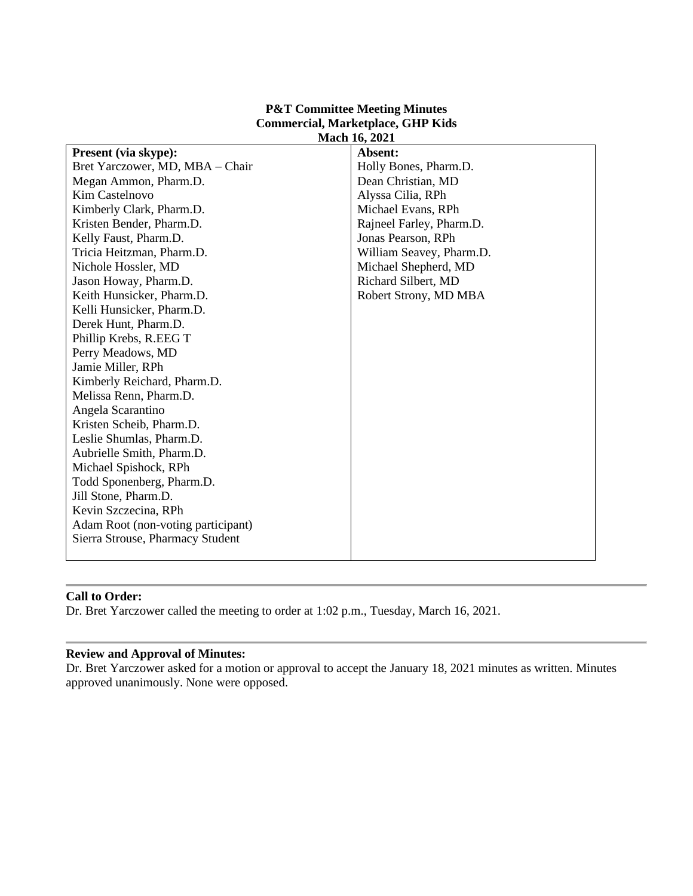#### **P&T Committee Meeting Minutes Commercial, Marketplace, GHP Kids Mach 16, 2021**

| <b>Present</b> (via skype):        | Absent:                  |
|------------------------------------|--------------------------|
| Bret Yarczower, MD, MBA - Chair    | Holly Bones, Pharm.D.    |
| Megan Ammon, Pharm.D.              | Dean Christian, MD       |
| Kim Castelnovo                     | Alyssa Cilia, RPh        |
| Kimberly Clark, Pharm.D.           | Michael Evans, RPh       |
| Kristen Bender, Pharm.D.           | Rajneel Farley, Pharm.D. |
| Kelly Faust, Pharm.D.              | Jonas Pearson, RPh       |
| Tricia Heitzman, Pharm.D.          | William Seavey, Pharm.D. |
| Nichole Hossler, MD                | Michael Shepherd, MD     |
| Jason Howay, Pharm.D.              | Richard Silbert, MD      |
| Keith Hunsicker, Pharm.D.          | Robert Strony, MD MBA    |
| Kelli Hunsicker, Pharm.D.          |                          |
| Derek Hunt, Pharm.D.               |                          |
| Phillip Krebs, R.EEG T             |                          |
| Perry Meadows, MD                  |                          |
| Jamie Miller, RPh                  |                          |
| Kimberly Reichard, Pharm.D.        |                          |
| Melissa Renn, Pharm.D.             |                          |
| Angela Scarantino                  |                          |
| Kristen Scheib, Pharm.D.           |                          |
| Leslie Shumlas, Pharm.D.           |                          |
| Aubrielle Smith, Pharm.D.          |                          |
| Michael Spishock, RPh              |                          |
| Todd Sponenberg, Pharm.D.          |                          |
| Jill Stone, Pharm.D.               |                          |
| Kevin Szczecina, RPh               |                          |
| Adam Root (non-voting participant) |                          |
| Sierra Strouse, Pharmacy Student   |                          |
|                                    |                          |
|                                    |                          |

# **Call to Order:**

Dr. Bret Yarczower called the meeting to order at 1:02 p.m., Tuesday, March 16, 2021.

# **Review and Approval of Minutes:**

Dr. Bret Yarczower asked for a motion or approval to accept the January 18, 2021 minutes as written. Minutes approved unanimously. None were opposed.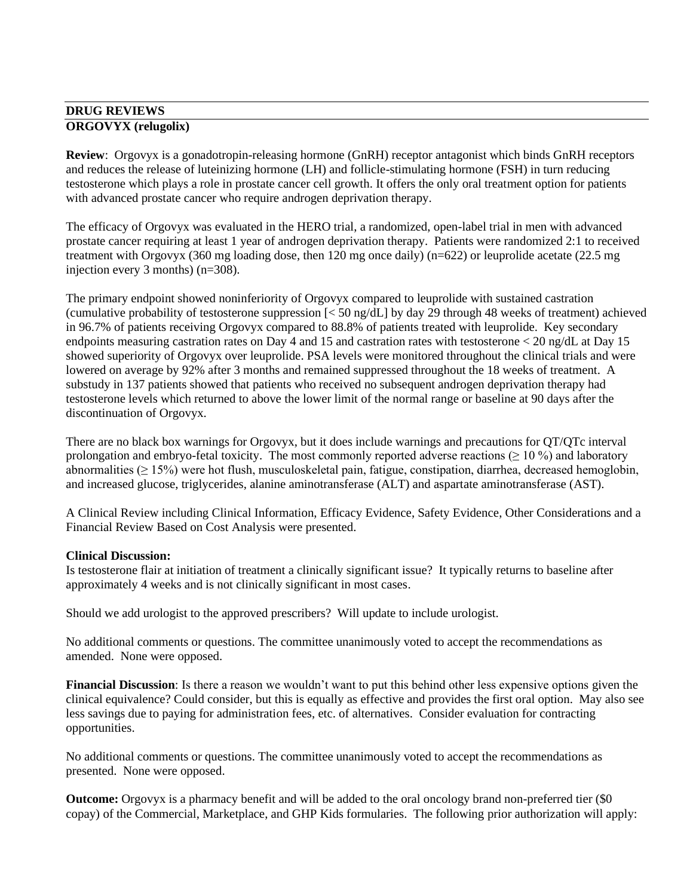# **DRUG REVIEWS ORGOVYX (relugolix)**

**Review**: Orgovyx is a gonadotropin-releasing hormone (GnRH) receptor antagonist which binds GnRH receptors and reduces the release of luteinizing hormone (LH) and follicle-stimulating hormone (FSH) in turn reducing testosterone which plays a role in prostate cancer cell growth. It offers the only oral treatment option for patients with advanced prostate cancer who require androgen deprivation therapy.

The efficacy of Orgovyx was evaluated in the HERO trial, a randomized, open-label trial in men with advanced prostate cancer requiring at least 1 year of androgen deprivation therapy. Patients were randomized 2:1 to received treatment with Orgovyx (360 mg loading dose, then 120 mg once daily) (n=622) or leuprolide acetate (22.5 mg injection every 3 months) (n=308).

The primary endpoint showed noninferiority of Orgovyx compared to leuprolide with sustained castration (cumulative probability of testosterone suppression  $\ll 50$  ng/dL] by day 29 through 48 weeks of treatment) achieved in 96.7% of patients receiving Orgovyx compared to 88.8% of patients treated with leuprolide. Key secondary endpoints measuring castration rates on Day 4 and 15 and castration rates with testosterone < 20 ng/dL at Day 15 showed superiority of Orgovyx over leuprolide. PSA levels were monitored throughout the clinical trials and were lowered on average by 92% after 3 months and remained suppressed throughout the 18 weeks of treatment. A substudy in 137 patients showed that patients who received no subsequent androgen deprivation therapy had testosterone levels which returned to above the lower limit of the normal range or baseline at 90 days after the discontinuation of Orgovyx.

There are no black box warnings for Orgovyx, but it does include warnings and precautions for QT/QTc interval prolongation and embryo-fetal toxicity. The most commonly reported adverse reactions ( $\geq 10\%$ ) and laboratory abnormalities ( $\geq$  15%) were hot flush, musculoskeletal pain, fatigue, constipation, diarrhea, decreased hemoglobin, and increased glucose, triglycerides, alanine aminotransferase (ALT) and aspartate aminotransferase (AST).

A Clinical Review including Clinical Information, Efficacy Evidence, Safety Evidence, Other Considerations and a Financial Review Based on Cost Analysis were presented.

# **Clinical Discussion:**

Is testosterone flair at initiation of treatment a clinically significant issue? It typically returns to baseline after approximately 4 weeks and is not clinically significant in most cases.

Should we add urologist to the approved prescribers? Will update to include urologist.

No additional comments or questions. The committee unanimously voted to accept the recommendations as amended. None were opposed.

**Financial Discussion**: Is there a reason we wouldn't want to put this behind other less expensive options given the clinical equivalence? Could consider, but this is equally as effective and provides the first oral option. May also see less savings due to paying for administration fees, etc. of alternatives. Consider evaluation for contracting opportunities.

No additional comments or questions. The committee unanimously voted to accept the recommendations as presented. None were opposed.

**Outcome:** Orgovyx is a pharmacy benefit and will be added to the oral oncology brand non-preferred tier (\$0) copay) of the Commercial, Marketplace, and GHP Kids formularies. The following prior authorization will apply: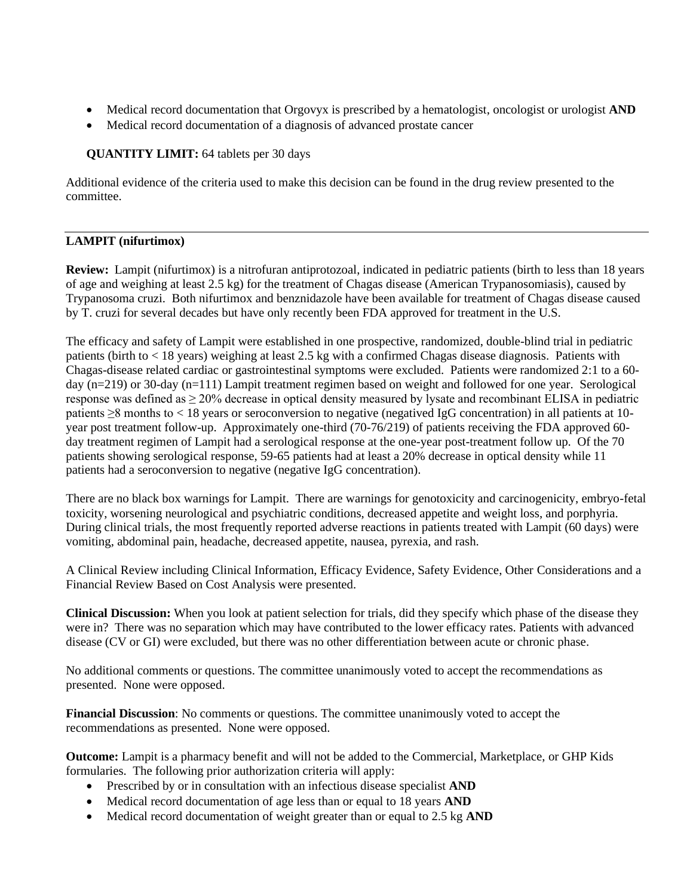- Medical record documentation that Orgovyx is prescribed by a hematologist, oncologist or urologist **AND**
- Medical record documentation of a diagnosis of advanced prostate cancer

# **QUANTITY LIMIT:** 64 tablets per 30 days

Additional evidence of the criteria used to make this decision can be found in the drug review presented to the committee.

# **LAMPIT (nifurtimox)**

**Review:** Lampit (nifurtimox) is a nitrofuran antiprotozoal, indicated in pediatric patients (birth to less than 18 years of age and weighing at least 2.5 kg) for the treatment of Chagas disease (American Trypanosomiasis), caused by Trypanosoma cruzi. Both nifurtimox and benznidazole have been available for treatment of Chagas disease caused by T. cruzi for several decades but have only recently been FDA approved for treatment in the U.S.

The efficacy and safety of Lampit were established in one prospective, randomized, double-blind trial in pediatric patients (birth to < 18 years) weighing at least 2.5 kg with a confirmed Chagas disease diagnosis. Patients with Chagas-disease related cardiac or gastrointestinal symptoms were excluded. Patients were randomized 2:1 to a 60 day (n=219) or 30-day (n=111) Lampit treatment regimen based on weight and followed for one year. Serological response was defined as ≥ 20% decrease in optical density measured by lysate and recombinant ELISA in pediatric patients ≥8 months to < 18 years or seroconversion to negative (negatived IgG concentration) in all patients at 10 year post treatment follow-up. Approximately one-third (70-76/219) of patients receiving the FDA approved 60 day treatment regimen of Lampit had a serological response at the one-year post-treatment follow up. Of the 70 patients showing serological response, 59-65 patients had at least a 20% decrease in optical density while 11 patients had a seroconversion to negative (negative IgG concentration).

There are no black box warnings for Lampit. There are warnings for genotoxicity and carcinogenicity, embryo-fetal toxicity, worsening neurological and psychiatric conditions, decreased appetite and weight loss, and porphyria. During clinical trials, the most frequently reported adverse reactions in patients treated with Lampit (60 days) were vomiting, abdominal pain, headache, decreased appetite, nausea, pyrexia, and rash.

A Clinical Review including Clinical Information, Efficacy Evidence, Safety Evidence, Other Considerations and a Financial Review Based on Cost Analysis were presented.

**Clinical Discussion:** When you look at patient selection for trials, did they specify which phase of the disease they were in? There was no separation which may have contributed to the lower efficacy rates. Patients with advanced disease (CV or GI) were excluded, but there was no other differentiation between acute or chronic phase.

No additional comments or questions. The committee unanimously voted to accept the recommendations as presented. None were opposed.

**Financial Discussion**: No comments or questions. The committee unanimously voted to accept the recommendations as presented. None were opposed.

**Outcome:** Lampit is a pharmacy benefit and will not be added to the Commercial, Marketplace, or GHP Kids formularies. The following prior authorization criteria will apply:

- Prescribed by or in consultation with an infectious disease specialist **AND**
- Medical record documentation of age less than or equal to 18 years **AND**
- Medical record documentation of weight greater than or equal to 2.5 kg **AND**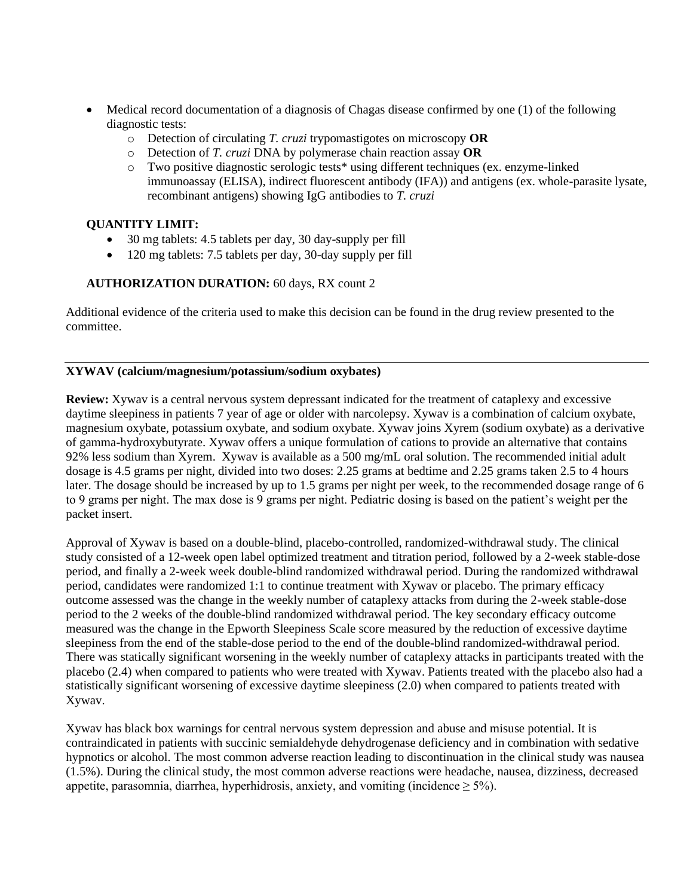- Medical record documentation of a diagnosis of Chagas disease confirmed by one (1) of the following diagnostic tests:
	- o Detection of circulating *T. cruzi* trypomastigotes on microscopy **OR**
	- o Detection of *T. cruzi* DNA by polymerase chain reaction assay **OR**
	- o Two positive diagnostic serologic tests\* using different techniques (ex. enzyme-linked immunoassay (ELISA), indirect fluorescent antibody (IFA)) and antigens (ex. whole-parasite lysate, recombinant antigens) showing IgG antibodies to *T. cruzi*

## **QUANTITY LIMIT:**

- 30 mg tablets: 4.5 tablets per day, 30 day-supply per fill
- 120 mg tablets: 7.5 tablets per day, 30-day supply per fill

# **AUTHORIZATION DURATION:** 60 days, RX count 2

Additional evidence of the criteria used to make this decision can be found in the drug review presented to the committee.

### **XYWAV (calcium/magnesium/potassium/sodium oxybates)**

**Review:** Xywav is a central nervous system depressant indicated for the treatment of cataplexy and excessive daytime sleepiness in patients 7 year of age or older with narcolepsy. Xywav is a combination of calcium oxybate, magnesium oxybate, potassium oxybate, and sodium oxybate. Xywav joins Xyrem (sodium oxybate) as a derivative of gamma-hydroxybutyrate. Xywav offers a unique formulation of cations to provide an alternative that contains 92% less sodium than Xyrem. Xywav is available as a 500 mg/mL oral solution. The recommended initial adult dosage is 4.5 grams per night, divided into two doses: 2.25 grams at bedtime and 2.25 grams taken 2.5 to 4 hours later. The dosage should be increased by up to 1.5 grams per night per week, to the recommended dosage range of 6 to 9 grams per night. The max dose is 9 grams per night. Pediatric dosing is based on the patient's weight per the packet insert.

Approval of Xywav is based on a double-blind, placebo-controlled, randomized-withdrawal study. The clinical study consisted of a 12-week open label optimized treatment and titration period, followed by a 2-week stable-dose period, and finally a 2-week week double-blind randomized withdrawal period. During the randomized withdrawal period, candidates were randomized 1:1 to continue treatment with Xywav or placebo. The primary efficacy outcome assessed was the change in the weekly number of cataplexy attacks from during the 2-week stable-dose period to the 2 weeks of the double-blind randomized withdrawal period. The key secondary efficacy outcome measured was the change in the Epworth Sleepiness Scale score measured by the reduction of excessive daytime sleepiness from the end of the stable-dose period to the end of the double-blind randomized-withdrawal period. There was statically significant worsening in the weekly number of cataplexy attacks in participants treated with the placebo (2.4) when compared to patients who were treated with Xywav. Patients treated with the placebo also had a statistically significant worsening of excessive daytime sleepiness (2.0) when compared to patients treated with Xywav.

Xywav has black box warnings for central nervous system depression and abuse and misuse potential. It is contraindicated in patients with succinic semialdehyde dehydrogenase deficiency and in combination with sedative hypnotics or alcohol. The most common adverse reaction leading to discontinuation in the clinical study was nausea (1.5%). During the clinical study, the most common adverse reactions were headache, nausea, dizziness, decreased appetite, parasomnia, diarrhea, hyperhidrosis, anxiety, and vomiting (incidence  $\geq$  5%).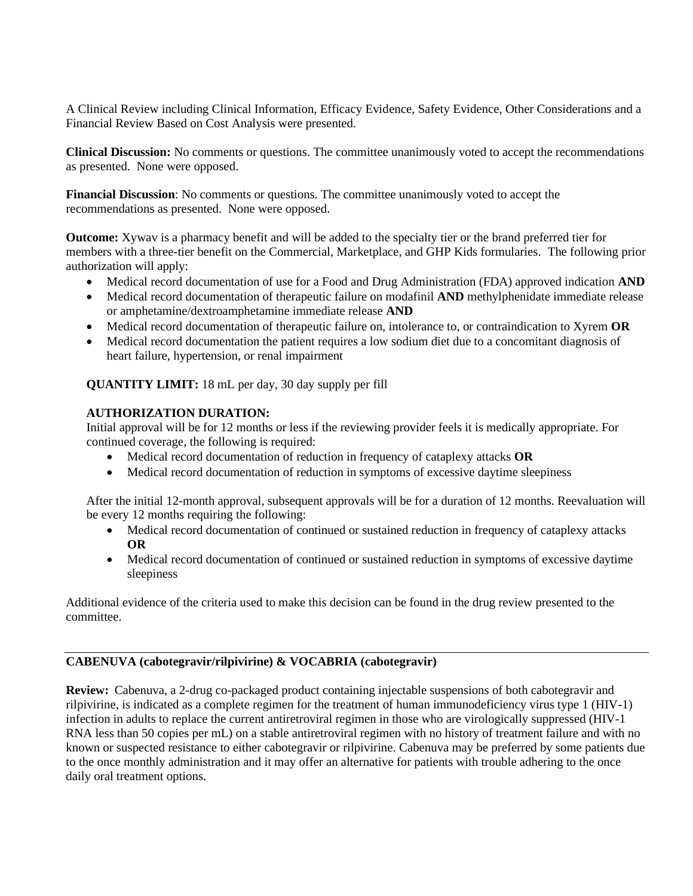A Clinical Review including Clinical Information, Efficacy Evidence, Safety Evidence, Other Considerations and a Financial Review Based on Cost Analysis were presented.

**Clinical Discussion:** No comments or questions. The committee unanimously voted to accept the recommendations as presented. None were opposed.

**Financial Discussion**: No comments or questions. The committee unanimously voted to accept the recommendations as presented. None were opposed.

**Outcome:** Xywav is a pharmacy benefit and will be added to the specialty tier or the brand preferred tier for members with a three-tier benefit on the Commercial, Marketplace, and GHP Kids formularies. The following prior authorization will apply:

- Medical record documentation of use for a Food and Drug Administration (FDA) approved indication **AND**
- Medical record documentation of therapeutic failure on modafinil **AND** methylphenidate immediate release or amphetamine/dextroamphetamine immediate release **AND**
- Medical record documentation of therapeutic failure on, intolerance to, or contraindication to Xyrem **OR**
- Medical record documentation the patient requires a low sodium diet due to a concomitant diagnosis of heart failure, hypertension, or renal impairment

**QUANTITY LIMIT:** 18 mL per day, 30 day supply per fill

# **AUTHORIZATION DURATION:**

Initial approval will be for 12 months or less if the reviewing provider feels it is medically appropriate. For continued coverage, the following is required:

- Medical record documentation of reduction in frequency of cataplexy attacks **OR**
- Medical record documentation of reduction in symptoms of excessive daytime sleepiness

After the initial 12-month approval, subsequent approvals will be for a duration of 12 months. Reevaluation will be every 12 months requiring the following:

- Medical record documentation of continued or sustained reduction in frequency of cataplexy attacks **OR**
- Medical record documentation of continued or sustained reduction in symptoms of excessive daytime sleepiness

Additional evidence of the criteria used to make this decision can be found in the drug review presented to the committee.

# **CABENUVA (cabotegravir/rilpivirine) & VOCABRIA (cabotegravir)**

**Review:** Cabenuva, a 2-drug co-packaged product containing injectable suspensions of both cabotegravir and rilpivirine, is indicated as a complete regimen for the treatment of human immunodeficiency virus type 1 (HIV-1) infection in adults to replace the current antiretroviral regimen in those who are virologically suppressed (HIV-1 RNA less than 50 copies per mL) on a stable antiretroviral regimen with no history of treatment failure and with no known or suspected resistance to either cabotegravir or rilpivirine. Cabenuva may be preferred by some patients due to the once monthly administration and it may offer an alternative for patients with trouble adhering to the once daily oral treatment options.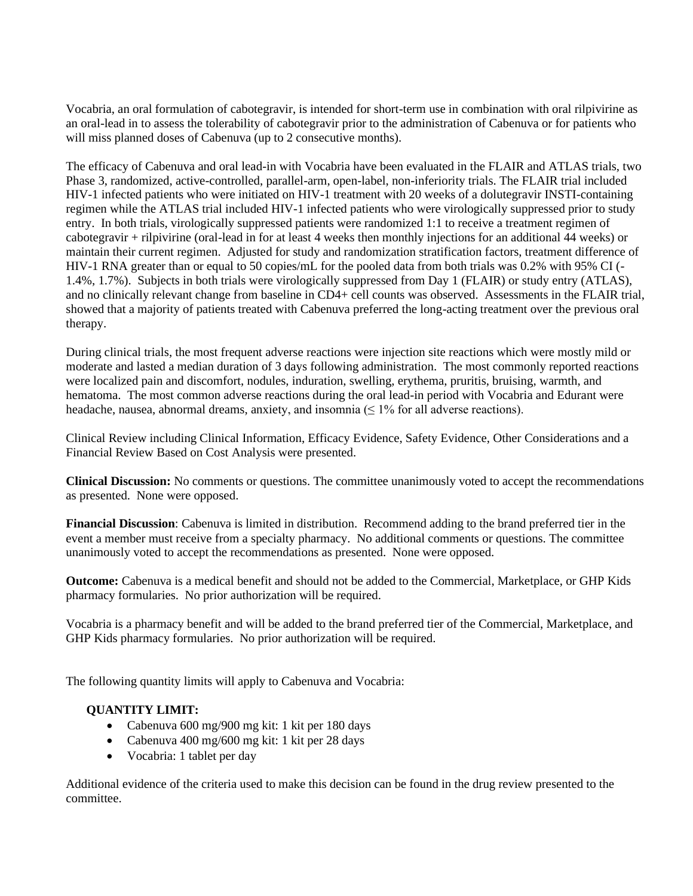Vocabria, an oral formulation of cabotegravir, is intended for short-term use in combination with oral rilpivirine as an oral-lead in to assess the tolerability of cabotegravir prior to the administration of Cabenuva or for patients who will miss planned doses of Cabenuva (up to 2 consecutive months).

The efficacy of Cabenuva and oral lead-in with Vocabria have been evaluated in the FLAIR and ATLAS trials, two Phase 3, randomized, active-controlled, parallel-arm, open-label, non-inferiority trials. The FLAIR trial included HIV-1 infected patients who were initiated on HIV-1 treatment with 20 weeks of a dolutegravir INSTI-containing regimen while the ATLAS trial included HIV-1 infected patients who were virologically suppressed prior to study entry. In both trials, virologically suppressed patients were randomized 1:1 to receive a treatment regimen of cabotegravir + rilpivirine (oral-lead in for at least 4 weeks then monthly injections for an additional 44 weeks) or maintain their current regimen. Adjusted for study and randomization stratification factors, treatment difference of HIV-1 RNA greater than or equal to 50 copies/mL for the pooled data from both trials was 0.2% with 95% CI (- 1.4%, 1.7%). Subjects in both trials were virologically suppressed from Day 1 (FLAIR) or study entry (ATLAS), and no clinically relevant change from baseline in CD4+ cell counts was observed. Assessments in the FLAIR trial, showed that a majority of patients treated with Cabenuva preferred the long-acting treatment over the previous oral therapy.

During clinical trials, the most frequent adverse reactions were injection site reactions which were mostly mild or moderate and lasted a median duration of 3 days following administration. The most commonly reported reactions were localized pain and discomfort, nodules, induration, swelling, erythema, pruritis, bruising, warmth, and hematoma. The most common adverse reactions during the oral lead-in period with Vocabria and Edurant were headache, nausea, abnormal dreams, anxiety, and insomnia ( $\leq$  1% for all adverse reactions).

Clinical Review including Clinical Information, Efficacy Evidence, Safety Evidence, Other Considerations and a Financial Review Based on Cost Analysis were presented.

**Clinical Discussion:** No comments or questions. The committee unanimously voted to accept the recommendations as presented. None were opposed.

**Financial Discussion**: Cabenuva is limited in distribution. Recommend adding to the brand preferred tier in the event a member must receive from a specialty pharmacy. No additional comments or questions. The committee unanimously voted to accept the recommendations as presented. None were opposed.

**Outcome:** Cabenuva is a medical benefit and should not be added to the Commercial, Marketplace, or GHP Kids pharmacy formularies. No prior authorization will be required.

Vocabria is a pharmacy benefit and will be added to the brand preferred tier of the Commercial, Marketplace, and GHP Kids pharmacy formularies. No prior authorization will be required.

The following quantity limits will apply to Cabenuva and Vocabria:

### **QUANTITY LIMIT:**

- Cabenuva 600 mg/900 mg kit: 1 kit per 180 days
- Cabenuva 400 mg/600 mg kit: 1 kit per 28 days
- Vocabria: 1 tablet per day

Additional evidence of the criteria used to make this decision can be found in the drug review presented to the committee.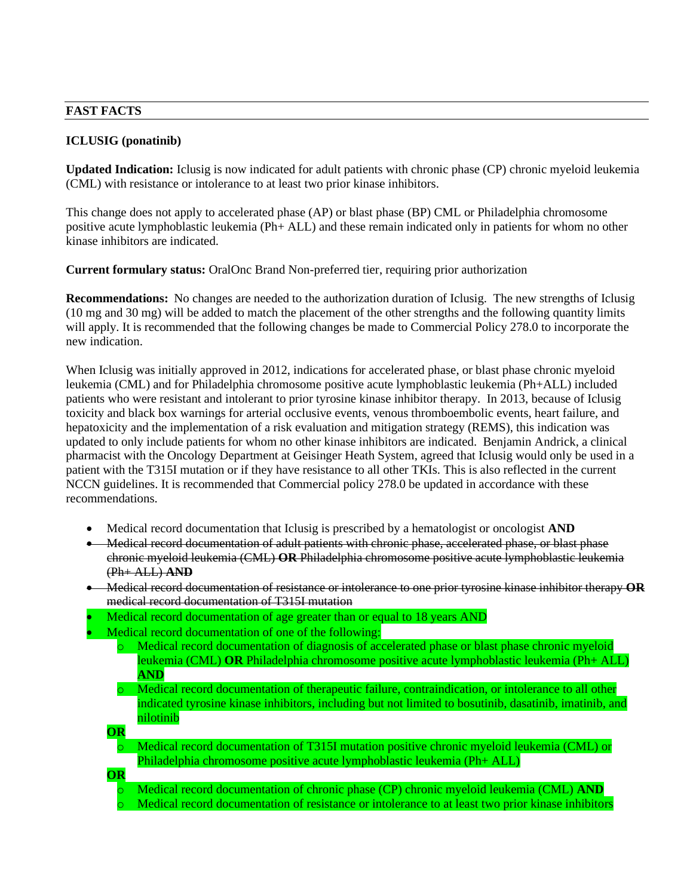#### **FAST FACTS**

### **ICLUSIG (ponatinib)**

**Updated Indication:** Iclusig is now indicated for adult patients with chronic phase (CP) chronic myeloid leukemia (CML) with resistance or intolerance to at least two prior kinase inhibitors.

This change does not apply to accelerated phase (AP) or blast phase (BP) CML or Philadelphia chromosome positive acute lymphoblastic leukemia (Ph+ ALL) and these remain indicated only in patients for whom no other kinase inhibitors are indicated.

**Current formulary status:** OralOnc Brand Non-preferred tier, requiring prior authorization

**Recommendations:** No changes are needed to the authorization duration of Iclusig. The new strengths of Iclusig (10 mg and 30 mg) will be added to match the placement of the other strengths and the following quantity limits will apply. It is recommended that the following changes be made to Commercial Policy 278.0 to incorporate the new indication.

When Iclusig was initially approved in 2012, indications for accelerated phase, or blast phase chronic myeloid leukemia (CML) and for Philadelphia chromosome positive acute lymphoblastic leukemia (Ph+ALL) included patients who were resistant and intolerant to prior tyrosine kinase inhibitor therapy. In 2013, because of Iclusig toxicity and black box warnings for arterial occlusive events, venous thromboembolic events, heart failure, and hepatoxicity and the implementation of a risk evaluation and mitigation strategy (REMS), this indication was updated to only include patients for whom no other kinase inhibitors are indicated. Benjamin Andrick, a clinical pharmacist with the Oncology Department at Geisinger Heath System, agreed that Iclusig would only be used in a patient with the T315I mutation or if they have resistance to all other TKIs. This is also reflected in the current NCCN guidelines. It is recommended that Commercial policy 278.0 be updated in accordance with these recommendations.

- Medical record documentation that Iclusig is prescribed by a hematologist or oncologist **AND**
- Medical record documentation of adult patients with chronic phase, accelerated phase, or blast phase chronic myeloid leukemia (CML) **OR** Philadelphia chromosome positive acute lymphoblastic leukemia (Ph+ ALL) **AND**
- Medical record documentation of resistance or intolerance to one prior tyrosine kinase inhibitor therapy **OR** medical record documentation of T315I mutation
- Medical record documentation of age greater than or equal to 18 years AND
- Medical record documentation of one of the following:
	- Medical record documentation of diagnosis of accelerated phase or blast phase chronic myeloid leukemia (CML) **OR** Philadelphia chromosome positive acute lymphoblastic leukemia (Ph+ ALL) **AND**
	- o Medical record documentation of therapeutic failure, contraindication, or intolerance to all other indicated tyrosine kinase inhibitors, including but not limited to bosutinib, dasatinib, imatinib, and nilotinib

**OR**

- Medical record documentation of T315I mutation positive chronic myeloid leukemia (CML) or Philadelphia chromosome positive acute lymphoblastic leukemia (Ph+ ALL)
- **OR**
	- Medical record documentation of chronic phase (CP) chronic myeloid leukemia (CML) **AND** Medical record documentation of resistance or intolerance to at least two prior kinase inhibitors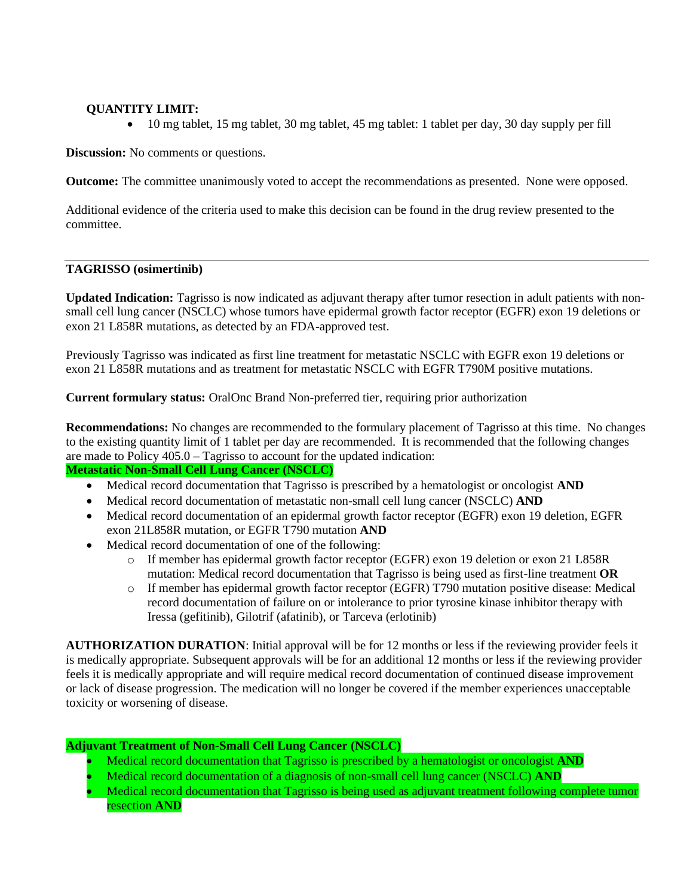# **QUANTITY LIMIT:**

• 10 mg tablet, 15 mg tablet, 30 mg tablet, 45 mg tablet: 1 tablet per day, 30 day supply per fill

**Discussion:** No comments or questions.

**Outcome:** The committee unanimously voted to accept the recommendations as presented. None were opposed.

Additional evidence of the criteria used to make this decision can be found in the drug review presented to the committee.

#### **TAGRISSO (osimertinib)**

**Updated Indication:** Tagrisso is now indicated as adjuvant therapy after tumor resection in adult patients with nonsmall cell lung cancer (NSCLC) whose tumors have epidermal growth factor receptor (EGFR) exon 19 deletions or exon 21 L858R mutations, as detected by an FDA-approved test.

Previously Tagrisso was indicated as first line treatment for metastatic NSCLC with EGFR exon 19 deletions or exon 21 L858R mutations and as treatment for metastatic NSCLC with EGFR T790M positive mutations.

**Current formulary status:** OralOnc Brand Non-preferred tier, requiring prior authorization

**Recommendations:** No changes are recommended to the formulary placement of Tagrisso at this time. No changes to the existing quantity limit of 1 tablet per day are recommended. It is recommended that the following changes are made to Policy 405.0 – Tagrisso to account for the updated indication:

# **Metastatic Non-Small Cell Lung Cancer (NSCLC)**

- Medical record documentation that Tagrisso is prescribed by a hematologist or oncologist **AND**
- Medical record documentation of metastatic non-small cell lung cancer (NSCLC) **AND**
- Medical record documentation of an epidermal growth factor receptor (EGFR) exon 19 deletion, EGFR exon 21L858R mutation, or EGFR T790 mutation **AND**
- Medical record documentation of one of the following:
	- o If member has epidermal growth factor receptor (EGFR) exon 19 deletion or exon 21 L858R mutation: Medical record documentation that Tagrisso is being used as first-line treatment **OR**
	- o If member has epidermal growth factor receptor (EGFR) T790 mutation positive disease: Medical record documentation of failure on or intolerance to prior tyrosine kinase inhibitor therapy with Iressa (gefitinib), Gilotrif (afatinib), or Tarceva (erlotinib)

**AUTHORIZATION DURATION**: Initial approval will be for 12 months or less if the reviewing provider feels it is medically appropriate. Subsequent approvals will be for an additional 12 months or less if the reviewing provider feels it is medically appropriate and will require medical record documentation of continued disease improvement or lack of disease progression. The medication will no longer be covered if the member experiences unacceptable toxicity or worsening of disease.

### **Adjuvant Treatment of Non-Small Cell Lung Cancer (NSCLC)**

- Medical record documentation that Tagrisso is prescribed by a hematologist or oncologist **AND**
- Medical record documentation of a diagnosis of non-small cell lung cancer (NSCLC) **AND**
- Medical record documentation that Tagrisso is being used as adjuvant treatment following complete tumor resection **AND**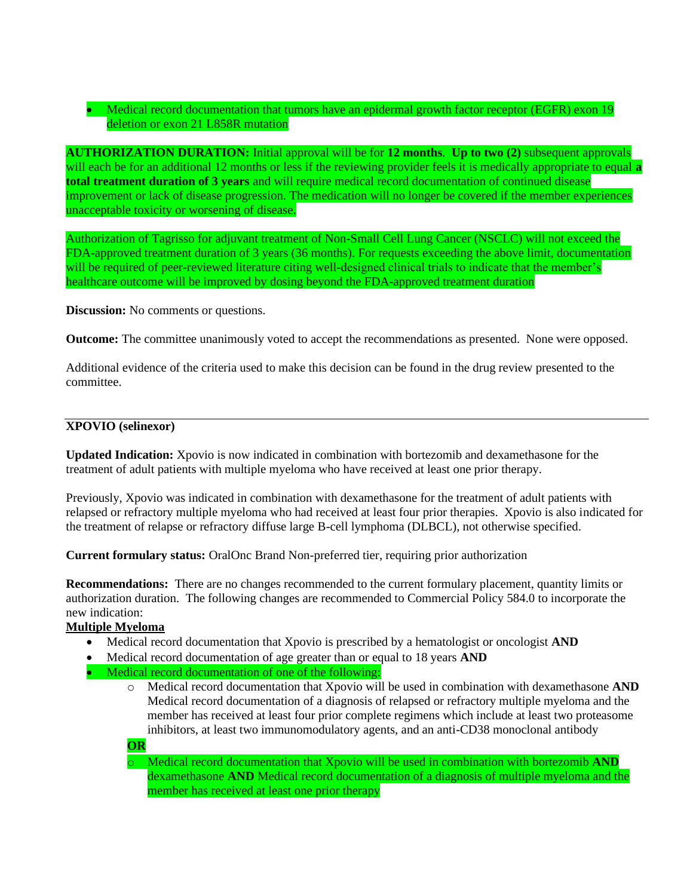# • Medical record documentation that tumors have an epidermal growth factor receptor (EGFR) exon 19 deletion or exon 21 L858R mutation

**AUTHORIZATION DURATION:** Initial approval will be for **12 months**. **Up to two (2)** subsequent approvals will each be for an additional 12 months or less if the reviewing provider feels it is medically appropriate to equal **a total treatment duration of 3 years** and will require medical record documentation of continued disease improvement or lack of disease progression. The medication will no longer be covered if the member experiences unacceptable toxicity or worsening of disease.

Authorization of Tagrisso for adjuvant treatment of Non-Small Cell Lung Cancer (NSCLC) will not exceed the FDA-approved treatment duration of 3 years (36 months). For requests exceeding the above limit, documentation will be required of peer-reviewed literature citing well-designed clinical trials to indicate that the member's healthcare outcome will be improved by dosing beyond the FDA-approved treatment duration

**Discussion:** No comments or questions.

**Outcome:** The committee unanimously voted to accept the recommendations as presented. None were opposed.

Additional evidence of the criteria used to make this decision can be found in the drug review presented to the committee.

## **XPOVIO (selinexor)**

**Updated Indication:** Xpovio is now indicated in combination with bortezomib and dexamethasone for the treatment of adult patients with multiple myeloma who have received at least one prior therapy.

Previously, Xpovio was indicated in combination with dexamethasone for the treatment of adult patients with relapsed or refractory multiple myeloma who had received at least four prior therapies. Xpovio is also indicated for the treatment of relapse or refractory diffuse large B-cell lymphoma (DLBCL), not otherwise specified.

**Current formulary status:** OralOnc Brand Non-preferred tier, requiring prior authorization

**Recommendations:** There are no changes recommended to the current formulary placement, quantity limits or authorization duration. The following changes are recommended to Commercial Policy 584.0 to incorporate the new indication:

### **Multiple Myeloma**

- Medical record documentation that Xpovio is prescribed by a hematologist or oncologist **AND**
- Medical record documentation of age greater than or equal to 18 years **AND**
- Medical record documentation of one of the following:
	- o Medical record documentation that Xpovio will be used in combination with dexamethasone **AND**  Medical record documentation of a diagnosis of relapsed or refractory multiple myeloma and the member has received at least four prior complete regimens which include at least two proteasome inhibitors, at least two immunomodulatory agents, and an anti-CD38 monoclonal antibody

**OR**

o Medical record documentation that Xpovio will be used in combination with bortezomib **AND** dexamethasone **AND** Medical record documentation of a diagnosis of multiple myeloma and the member has received at least one prior therapy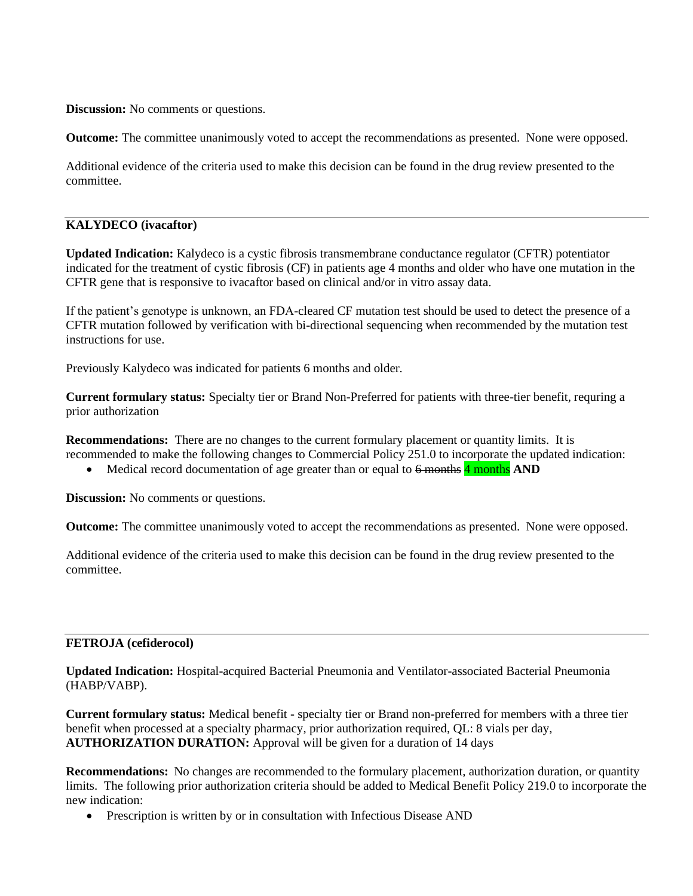**Discussion:** No comments or questions.

**Outcome:** The committee unanimously voted to accept the recommendations as presented. None were opposed.

Additional evidence of the criteria used to make this decision can be found in the drug review presented to the committee.

### **KALYDECO (ivacaftor)**

**Updated Indication:** Kalydeco is a cystic fibrosis transmembrane conductance regulator (CFTR) potentiator indicated for the treatment of cystic fibrosis (CF) in patients age 4 months and older who have one mutation in the CFTR gene that is responsive to ivacaftor based on clinical and/or in vitro assay data.

If the patient's genotype is unknown, an FDA-cleared CF mutation test should be used to detect the presence of a CFTR mutation followed by verification with bi-directional sequencing when recommended by the mutation test instructions for use.

Previously Kalydeco was indicated for patients 6 months and older.

**Current formulary status:** Specialty tier or Brand Non-Preferred for patients with three-tier benefit, requring a prior authorization

**Recommendations:** There are no changes to the current formulary placement or quantity limits. It is recommended to make the following changes to Commercial Policy 251.0 to incorporate the updated indication:

• Medical record documentation of age greater than or equal to  $\frac{6}{2}$  months **AND** 

**Discussion:** No comments or questions.

**Outcome:** The committee unanimously voted to accept the recommendations as presented. None were opposed.

Additional evidence of the criteria used to make this decision can be found in the drug review presented to the committee.

#### **FETROJA (cefiderocol)**

**Updated Indication:** Hospital-acquired Bacterial Pneumonia and Ventilator-associated Bacterial Pneumonia (HABP/VABP).

**Current formulary status:** Medical benefit - specialty tier or Brand non-preferred for members with a three tier benefit when processed at a specialty pharmacy, prior authorization required, QL: 8 vials per day, **AUTHORIZATION DURATION:** Approval will be given for a duration of 14 days

**Recommendations:** No changes are recommended to the formulary placement, authorization duration, or quantity limits. The following prior authorization criteria should be added to Medical Benefit Policy 219.0 to incorporate the new indication:

• Prescription is written by or in consultation with Infectious Disease AND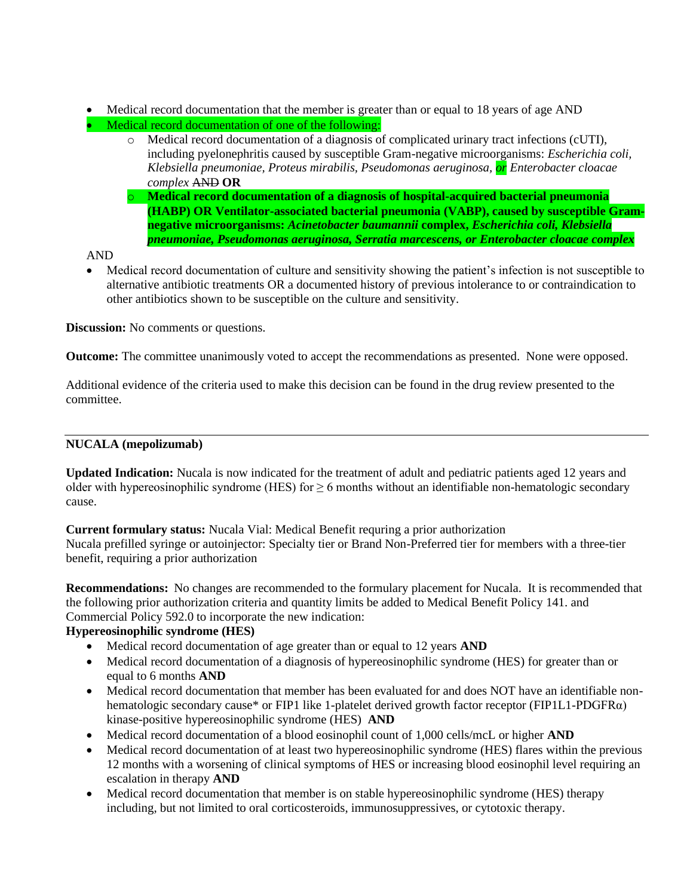- Medical record documentation that the member is greater than or equal to 18 years of age AND
- Medical record documentation of one of the following:
	- o Medical record documentation of a diagnosis of complicated urinary tract infections (cUTI), including pyelonephritis caused by susceptible Gram-negative microorganisms: *Escherichia coli, Klebsiella pneumoniae, Proteus mirabilis, Pseudomonas aeruginosa, or Enterobacter cloacae complex* AND **OR**
	- o **Medical record documentation of a diagnosis of hospital-acquired bacterial pneumonia (HABP) OR Ventilator-associated bacterial pneumonia (VABP), caused by susceptible Gramnegative microorganisms:** *Acinetobacter baumannii* **complex,** *Escherichia coli, Klebsiella pneumoniae, Pseudomonas aeruginosa, Serratia marcescens, or Enterobacter cloacae complex*

AND

• Medical record documentation of culture and sensitivity showing the patient's infection is not susceptible to alternative antibiotic treatments OR a documented history of previous intolerance to or contraindication to other antibiotics shown to be susceptible on the culture and sensitivity.

**Discussion:** No comments or questions.

**Outcome:** The committee unanimously voted to accept the recommendations as presented. None were opposed.

Additional evidence of the criteria used to make this decision can be found in the drug review presented to the committee.

# **NUCALA (mepolizumab)**

**Updated Indication:** Nucala is now indicated for the treatment of adult and pediatric patients aged 12 years and older with hypereosinophilic syndrome (HES) for  $\geq 6$  months without an identifiable non-hematologic secondary cause.

**Current formulary status:** Nucala Vial: Medical Benefit requring a prior authorization

Nucala prefilled syringe or autoinjector: Specialty tier or Brand Non-Preferred tier for members with a three-tier benefit, requiring a prior authorization

**Recommendations:** No changes are recommended to the formulary placement for Nucala. It is recommended that the following prior authorization criteria and quantity limits be added to Medical Benefit Policy 141. and Commercial Policy 592.0 to incorporate the new indication:

# **Hypereosinophilic syndrome (HES)**

- Medical record documentation of age greater than or equal to 12 years **AND**
- Medical record documentation of a diagnosis of hypereosinophilic syndrome (HES) for greater than or equal to 6 months **AND**
- Medical record documentation that member has been evaluated for and does NOT have an identifiable nonhematologic secondary cause\* or FIP1 like 1-platelet derived growth factor receptor (FIP1L1-PDGFRα) kinase-positive hypereosinophilic syndrome (HES) **AND**
- Medical record documentation of a blood eosinophil count of 1,000 cells/mcL or higher **AND**
- Medical record documentation of at least two hypereosinophilic syndrome (HES) flares within the previous 12 months with a worsening of clinical symptoms of HES or increasing blood eosinophil level requiring an escalation in therapy **AND**
- Medical record documentation that member is on stable hypereosinophilic syndrome (HES) therapy including, but not limited to oral corticosteroids, immunosuppressives, or cytotoxic therapy.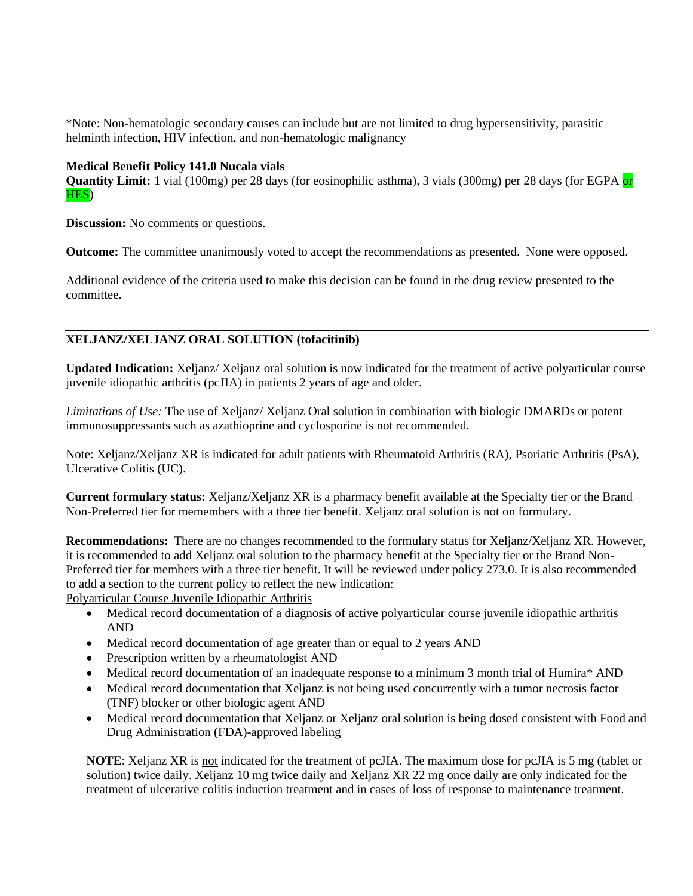\*Note: Non-hematologic secondary causes can include but are not limited to drug hypersensitivity, parasitic helminth infection, HIV infection, and non-hematologic malignancy

### **Medical Benefit Policy 141.0 Nucala vials**

**Quantity Limit:** 1 vial (100mg) per 28 days (for eosinophilic asthma), 3 vials (300mg) per 28 days (for EGPA or HES)

**Discussion:** No comments or questions.

**Outcome:** The committee unanimously voted to accept the recommendations as presented. None were opposed.

Additional evidence of the criteria used to make this decision can be found in the drug review presented to the committee.

# **XELJANZ/XELJANZ ORAL SOLUTION (tofacitinib)**

**Updated Indication:** Xeljanz/ Xeljanz oral solution is now indicated for the treatment of active polyarticular course juvenile idiopathic arthritis (pcJIA) in patients 2 years of age and older.

*Limitations of Use:* The use of Xeljanz/ Xeljanz Oral solution in combination with biologic DMARDs or potent immunosuppressants such as azathioprine and cyclosporine is not recommended.

Note: Xeljanz/Xeljanz XR is indicated for adult patients with Rheumatoid Arthritis (RA), Psoriatic Arthritis (PsA), Ulcerative Colitis (UC).

**Current formulary status:** Xeljanz/Xeljanz XR is a pharmacy benefit available at the Specialty tier or the Brand Non-Preferred tier for memembers with a three tier benefit. Xeljanz oral solution is not on formulary.

**Recommendations:** There are no changes recommended to the formulary status for Xeljanz/Xeljanz XR. However, it is recommended to add Xeljanz oral solution to the pharmacy benefit at the Specialty tier or the Brand Non-Preferred tier for members with a three tier benefit. It will be reviewed under policy 273.0. It is also recommended to add a section to the current policy to reflect the new indication:

Polyarticular Course Juvenile Idiopathic Arthritis

- Medical record documentation of a diagnosis of active polyarticular course juvenile idiopathic arthritis AND
- Medical record documentation of age greater than or equal to 2 years AND
- Prescription written by a rheumatologist AND
- Medical record documentation of an inadequate response to a minimum 3 month trial of Humira\* AND
- Medical record documentation that Xeljanz is not being used concurrently with a tumor necrosis factor (TNF) blocker or other biologic agent AND
- Medical record documentation that Xeljanz or Xeljanz oral solution is being dosed consistent with Food and Drug Administration (FDA)-approved labeling

**NOTE**: Xeljanz XR is not indicated for the treatment of pcJIA. The maximum dose for pcJIA is 5 mg (tablet or solution) twice daily. Xeljanz 10 mg twice daily and Xeljanz XR 22 mg once daily are only indicated for the treatment of ulcerative colitis induction treatment and in cases of loss of response to maintenance treatment.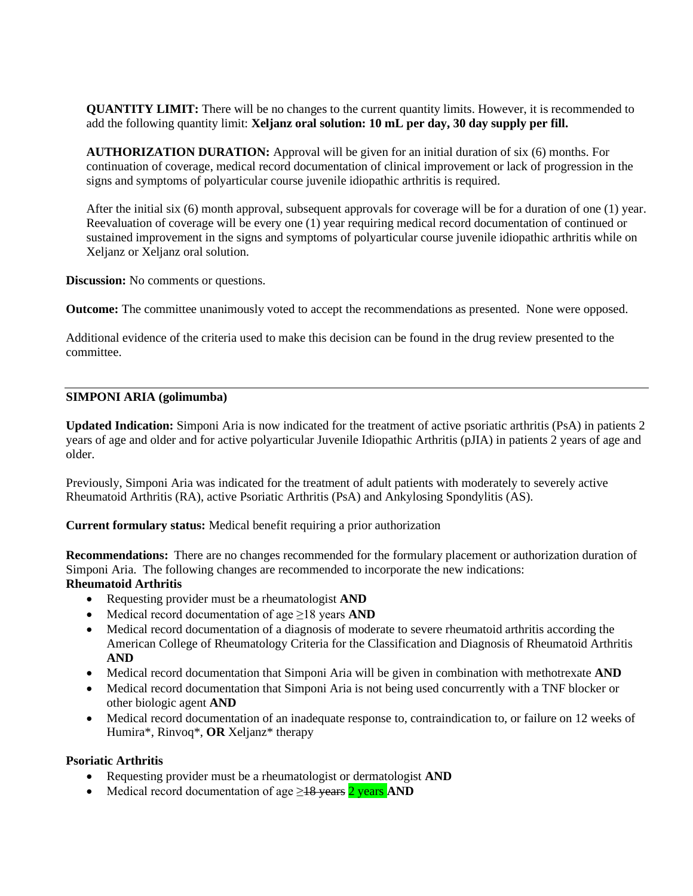**QUANTITY LIMIT:** There will be no changes to the current quantity limits. However, it is recommended to add the following quantity limit: **Xeljanz oral solution: 10 mL per day, 30 day supply per fill.** 

**AUTHORIZATION DURATION:** Approval will be given for an initial duration of six (6) months. For continuation of coverage, medical record documentation of clinical improvement or lack of progression in the signs and symptoms of polyarticular course juvenile idiopathic arthritis is required.

After the initial six (6) month approval, subsequent approvals for coverage will be for a duration of one (1) year. Reevaluation of coverage will be every one (1) year requiring medical record documentation of continued or sustained improvement in the signs and symptoms of polyarticular course juvenile idiopathic arthritis while on Xeljanz or Xeljanz oral solution.

**Discussion:** No comments or questions.

**Outcome:** The committee unanimously voted to accept the recommendations as presented. None were opposed.

Additional evidence of the criteria used to make this decision can be found in the drug review presented to the committee.

#### **SIMPONI ARIA (golimumba)**

**Updated Indication:** Simponi Aria is now indicated for the treatment of active psoriatic arthritis (PsA) in patients 2 years of age and older and for active polyarticular Juvenile Idiopathic Arthritis (pJIA) in patients 2 years of age and older.

Previously, Simponi Aria was indicated for the treatment of adult patients with moderately to severely active Rheumatoid Arthritis (RA), active Psoriatic Arthritis (PsA) and Ankylosing Spondylitis (AS).

**Current formulary status:** Medical benefit requiring a prior authorization

**Recommendations:** There are no changes recommended for the formulary placement or authorization duration of Simponi Aria. The following changes are recommended to incorporate the new indications: **Rheumatoid Arthritis** 

- Requesting provider must be a rheumatologist **AND**
- Medical record documentation of age ≥18 years **AND**
- Medical record documentation of a diagnosis of moderate to severe rheumatoid arthritis according the American College of Rheumatology Criteria for the Classification and Diagnosis of Rheumatoid Arthritis **AND**
- Medical record documentation that Simponi Aria will be given in combination with methotrexate **AND**
- Medical record documentation that Simponi Aria is not being used concurrently with a TNF blocker or other biologic agent **AND**
- Medical record documentation of an inadequate response to, contraindication to, or failure on 12 weeks of Humira\*, Rinvoq\*, **OR** Xeljanz\* therapy

### **Psoriatic Arthritis**

- Requesting provider must be a rheumatologist or dermatologist **AND**
- Medical record documentation of age ≥18 years 2 years **AND**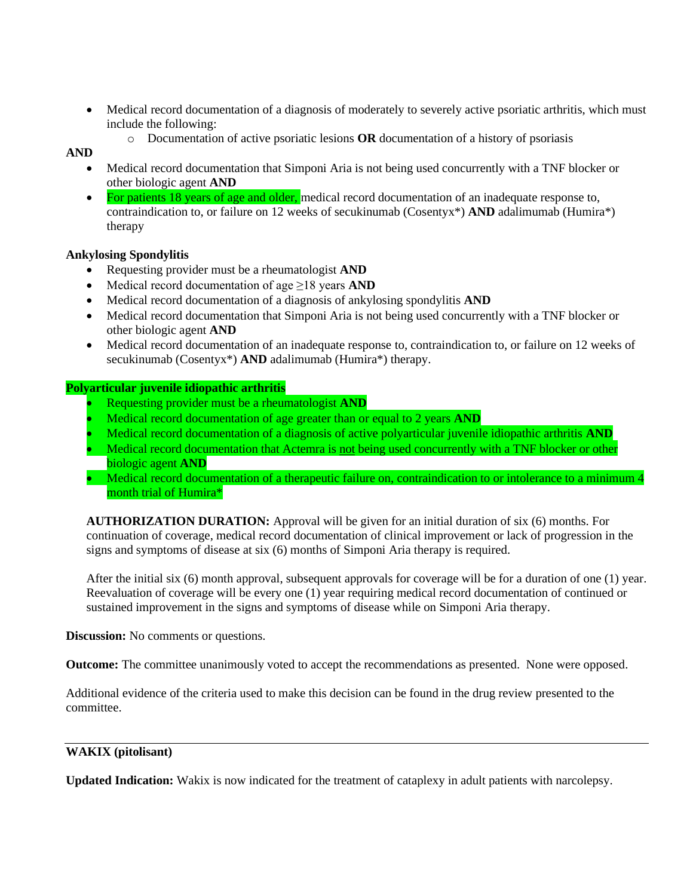- Medical record documentation of a diagnosis of moderately to severely active psoriatic arthritis, which must include the following:
	- o Documentation of active psoriatic lesions **OR** documentation of a history of psoriasis

# **AND**

- Medical record documentation that Simponi Aria is not being used concurrently with a TNF blocker or other biologic agent **AND**
- For patients 18 years of age and older, medical record documentation of an inadequate response to, contraindication to, or failure on 12 weeks of secukinumab (Cosentyx\*) **AND** adalimumab (Humira\*) therapy

### **Ankylosing Spondylitis**

- Requesting provider must be a rheumatologist **AND**
- Medical record documentation of age ≥18 years **AND**
- Medical record documentation of a diagnosis of ankylosing spondylitis **AND**
- Medical record documentation that Simponi Aria is not being used concurrently with a TNF blocker or other biologic agent **AND**
- Medical record documentation of an inadequate response to, contraindication to, or failure on 12 weeks of secukinumab (Cosentyx\*) **AND** adalimumab (Humira\*) therapy.

### **Polyarticular juvenile idiopathic arthritis**

- Requesting provider must be a rheumatologist **AND**
- Medical record documentation of age greater than or equal to 2 years **AND**
- Medical record documentation of a diagnosis of active polyarticular juvenile idiopathic arthritis **AND**
- Medical record documentation that Actemra is not being used concurrently with a TNF blocker or other biologic agent **AND**
- Medical record documentation of a therapeutic failure on, contraindication to or intolerance to a minimum 4 month trial of Humira\*

**AUTHORIZATION DURATION:** Approval will be given for an initial duration of six (6) months. For continuation of coverage, medical record documentation of clinical improvement or lack of progression in the signs and symptoms of disease at six (6) months of Simponi Aria therapy is required.

After the initial six (6) month approval, subsequent approvals for coverage will be for a duration of one (1) year. Reevaluation of coverage will be every one (1) year requiring medical record documentation of continued or sustained improvement in the signs and symptoms of disease while on Simponi Aria therapy.

**Discussion:** No comments or questions.

**Outcome:** The committee unanimously voted to accept the recommendations as presented. None were opposed.

Additional evidence of the criteria used to make this decision can be found in the drug review presented to the committee.

### **WAKIX (pitolisant)**

**Updated Indication:** Wakix is now indicated for the treatment of cataplexy in adult patients with narcolepsy.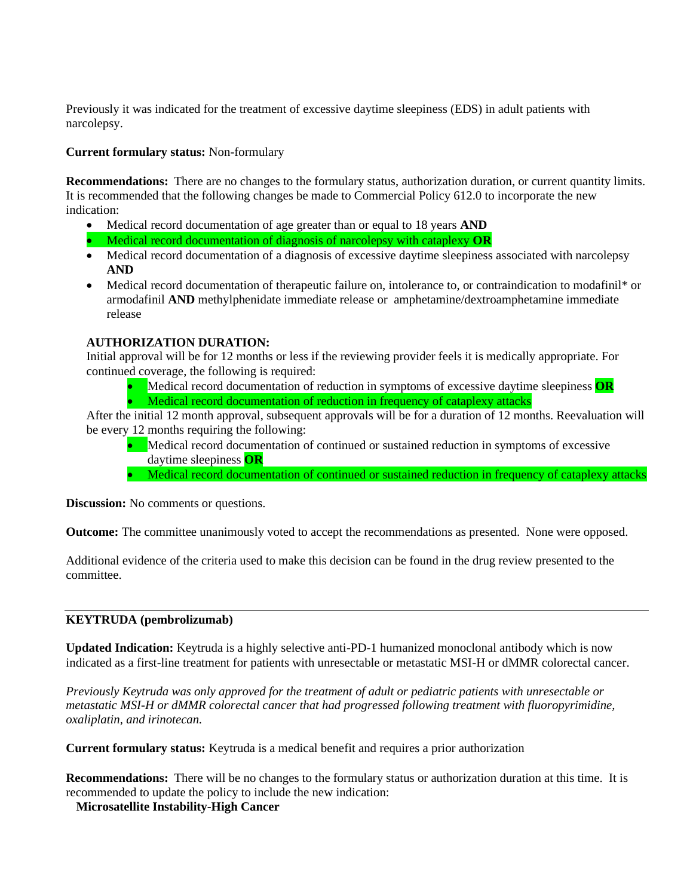Previously it was indicated for the treatment of excessive daytime sleepiness (EDS) in adult patients with narcolepsy.

## **Current formulary status:** Non-formulary

**Recommendations:** There are no changes to the formulary status, authorization duration, or current quantity limits. It is recommended that the following changes be made to Commercial Policy 612.0 to incorporate the new indication:

- Medical record documentation of age greater than or equal to 18 years **AND**
- Medical record documentation of diagnosis of narcolepsy with cataplexy **OR**
- Medical record documentation of a diagnosis of excessive daytime sleepiness associated with narcolepsy **AND**
- Medical record documentation of therapeutic failure on, intolerance to, or contraindication to modafinil\* or armodafinil **AND** methylphenidate immediate release or amphetamine/dextroamphetamine immediate release

# **AUTHORIZATION DURATION:**

Initial approval will be for 12 months or less if the reviewing provider feels it is medically appropriate. For continued coverage, the following is required:

- Medical record documentation of reduction in symptoms of excessive daytime sleepiness **OR**
- Medical record documentation of reduction in frequency of cataplexy attacks

After the initial 12 month approval, subsequent approvals will be for a duration of 12 months. Reevaluation will be every 12 months requiring the following:

- Medical record documentation of continued or sustained reduction in symptoms of excessive daytime sleepiness **OR**
- Medical record documentation of continued or sustained reduction in frequency of cataplexy attacks

**Discussion:** No comments or questions.

**Outcome:** The committee unanimously voted to accept the recommendations as presented. None were opposed.

Additional evidence of the criteria used to make this decision can be found in the drug review presented to the committee.

# **KEYTRUDA (pembrolizumab)**

**Updated Indication:** Keytruda is a highly selective anti-PD-1 humanized monoclonal antibody which is now indicated as a first-line treatment for patients with unresectable or metastatic MSI-H or dMMR colorectal cancer.

*Previously Keytruda was only approved for the treatment of adult or pediatric patients with unresectable or metastatic MSI-H or dMMR colorectal cancer that had progressed following treatment with fluoropyrimidine, oxaliplatin, and irinotecan.* 

**Current formulary status:** Keytruda is a medical benefit and requires a prior authorization

**Recommendations:** There will be no changes to the formulary status or authorization duration at this time. It is recommended to update the policy to include the new indication:

**Microsatellite Instability-High Cancer**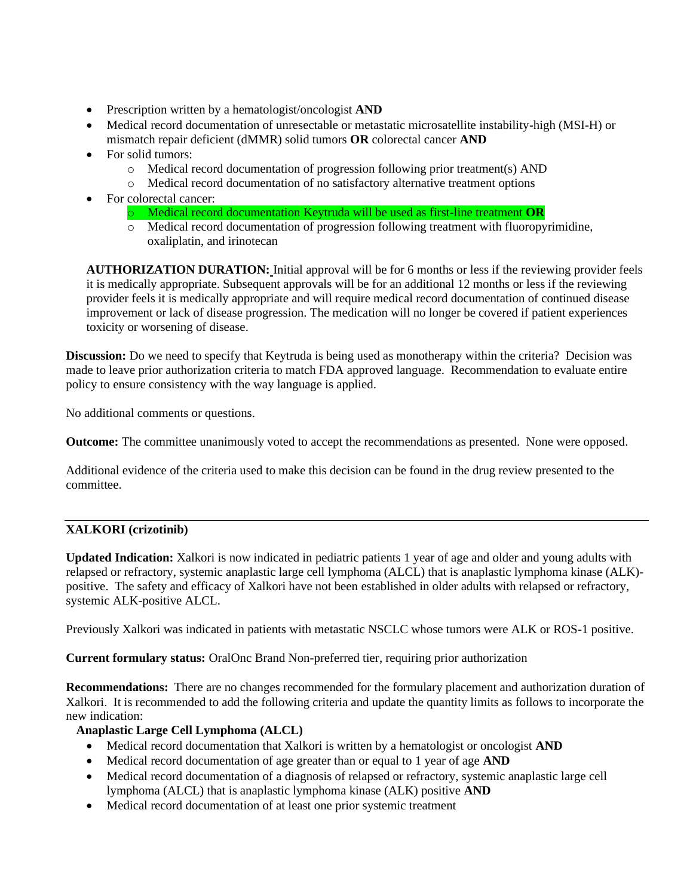- Prescription written by a hematologist/oncologist **AND**
- Medical record documentation of unresectable or metastatic microsatellite instability-high (MSI-H) or mismatch repair deficient (dMMR) solid tumors **OR** colorectal cancer **AND**
- For solid tumors:
	- o Medical record documentation of progression following prior treatment(s) AND
	- o Medical record documentation of no satisfactory alternative treatment options
- For colorectal cancer:
	- o Medical record documentation Keytruda will be used as first-line treatment **OR**
	- o Medical record documentation of progression following treatment with fluoropyrimidine, oxaliplatin, and irinotecan

**AUTHORIZATION DURATION:** Initial approval will be for 6 months or less if the reviewing provider feels it is medically appropriate. Subsequent approvals will be for an additional 12 months or less if the reviewing provider feels it is medically appropriate and will require medical record documentation of continued disease improvement or lack of disease progression. The medication will no longer be covered if patient experiences toxicity or worsening of disease.

**Discussion:** Do we need to specify that Keytruda is being used as monotherapy within the criteria? Decision was made to leave prior authorization criteria to match FDA approved language. Recommendation to evaluate entire policy to ensure consistency with the way language is applied.

No additional comments or questions.

**Outcome:** The committee unanimously voted to accept the recommendations as presented. None were opposed.

Additional evidence of the criteria used to make this decision can be found in the drug review presented to the committee.

# **XALKORI (crizotinib)**

**Updated Indication:** Xalkori is now indicated in pediatric patients 1 year of age and older and young adults with relapsed or refractory, systemic anaplastic large cell lymphoma (ALCL) that is anaplastic lymphoma kinase (ALK) positive. The safety and efficacy of Xalkori have not been established in older adults with relapsed or refractory, systemic ALK-positive ALCL.

Previously Xalkori was indicated in patients with metastatic NSCLC whose tumors were ALK or ROS-1 positive.

**Current formulary status:** OralOnc Brand Non-preferred tier, requiring prior authorization

**Recommendations:** There are no changes recommended for the formulary placement and authorization duration of Xalkori. It is recommended to add the following criteria and update the quantity limits as follows to incorporate the new indication:

# **Anaplastic Large Cell Lymphoma (ALCL)**

- Medical record documentation that Xalkori is written by a hematologist or oncologist **AND**
- Medical record documentation of age greater than or equal to 1 year of age **AND**
- Medical record documentation of a diagnosis of relapsed or refractory, systemic anaplastic large cell lymphoma (ALCL) that is anaplastic lymphoma kinase (ALK) positive **AND**
- Medical record documentation of at least one prior systemic treatment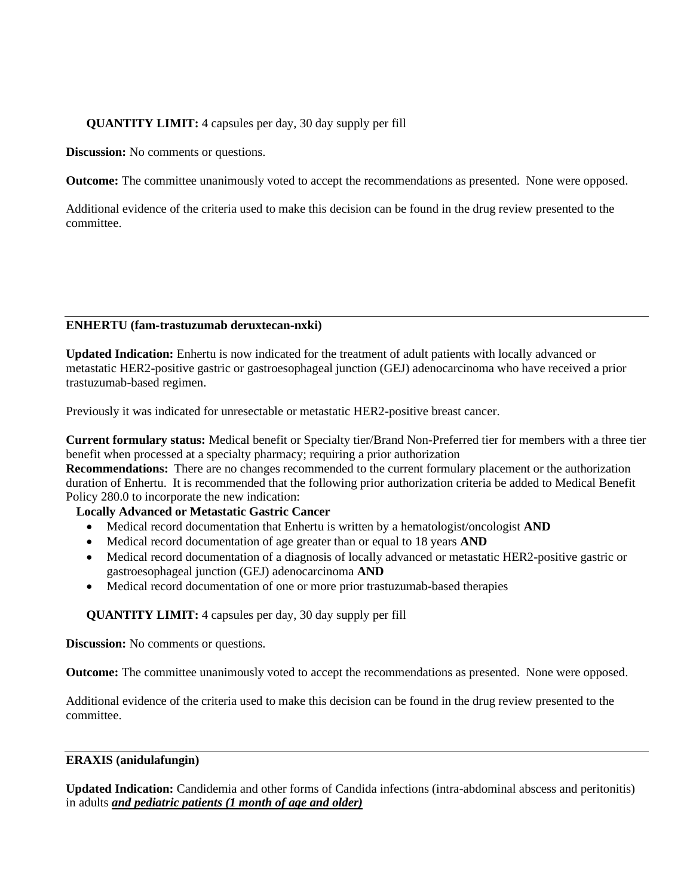# **QUANTITY LIMIT:** 4 capsules per day, 30 day supply per fill

**Discussion:** No comments or questions.

**Outcome:** The committee unanimously voted to accept the recommendations as presented. None were opposed.

Additional evidence of the criteria used to make this decision can be found in the drug review presented to the committee.

#### **ENHERTU (fam-trastuzumab deruxtecan-nxki)**

**Updated Indication:** Enhertu is now indicated for the treatment of adult patients with locally advanced or metastatic HER2-positive gastric or gastroesophageal junction (GEJ) adenocarcinoma who have received a prior trastuzumab-based regimen.

Previously it was indicated for unresectable or metastatic HER2-positive breast cancer.

**Current formulary status:** Medical benefit or Specialty tier/Brand Non-Preferred tier for members with a three tier benefit when processed at a specialty pharmacy; requiring a prior authorization

**Recommendations:** There are no changes recommended to the current formulary placement or the authorization duration of Enhertu. It is recommended that the following prior authorization criteria be added to Medical Benefit Policy 280.0 to incorporate the new indication:

### **Locally Advanced or Metastatic Gastric Cancer**

- Medical record documentation that Enhertu is written by a hematologist/oncologist **AND**
- Medical record documentation of age greater than or equal to 18 years **AND**
- Medical record documentation of a diagnosis of locally advanced or metastatic HER2-positive gastric or gastroesophageal junction (GEJ) adenocarcinoma **AND**
- Medical record documentation of one or more prior trastuzumab-based therapies

## **QUANTITY LIMIT:** 4 capsules per day, 30 day supply per fill

**Discussion:** No comments or questions.

**Outcome:** The committee unanimously voted to accept the recommendations as presented. None were opposed.

Additional evidence of the criteria used to make this decision can be found in the drug review presented to the committee.

#### **ERAXIS (anidulafungin)**

**Updated Indication:** Candidemia and other forms of Candida infections (intra-abdominal abscess and peritonitis) in adults *and pediatric patients (1 month of age and older)*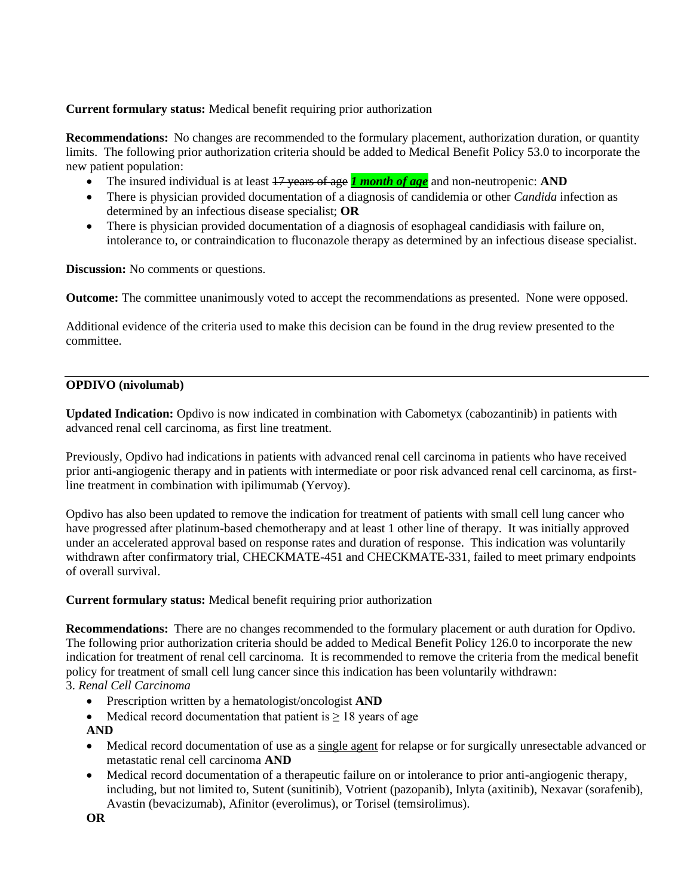# **Current formulary status:** Medical benefit requiring prior authorization

**Recommendations:** No changes are recommended to the formulary placement, authorization duration, or quantity limits. The following prior authorization criteria should be added to Medical Benefit Policy 53.0 to incorporate the new patient population:

- The insured individual is at least 17 years of age **1 month of age** and non-neutropenic: **AND**
- There is physician provided documentation of a diagnosis of candidemia or other *Candida* infection as determined by an infectious disease specialist; **OR**
- There is physician provided documentation of a diagnosis of esophageal candidiasis with failure on, intolerance to, or contraindication to fluconazole therapy as determined by an infectious disease specialist.

**Discussion:** No comments or questions.

**Outcome:** The committee unanimously voted to accept the recommendations as presented. None were opposed.

Additional evidence of the criteria used to make this decision can be found in the drug review presented to the committee.

### **OPDIVO (nivolumab)**

**Updated Indication:** Opdivo is now indicated in combination with Cabometyx (cabozantinib) in patients with advanced renal cell carcinoma, as first line treatment.

Previously, Opdivo had indications in patients with advanced renal cell carcinoma in patients who have received prior anti-angiogenic therapy and in patients with intermediate or poor risk advanced renal cell carcinoma, as firstline treatment in combination with ipilimumab (Yervoy).

Opdivo has also been updated to remove the indication for treatment of patients with small cell lung cancer who have progressed after platinum-based chemotherapy and at least 1 other line of therapy. It was initially approved under an accelerated approval based on response rates and duration of response. This indication was voluntarily withdrawn after confirmatory trial, CHECKMATE-451 and CHECKMATE-331, failed to meet primary endpoints of overall survival.

### **Current formulary status:** Medical benefit requiring prior authorization

**Recommendations:** There are no changes recommended to the formulary placement or auth duration for Opdivo. The following prior authorization criteria should be added to Medical Benefit Policy 126.0 to incorporate the new indication for treatment of renal cell carcinoma. It is recommended to remove the criteria from the medical benefit policy for treatment of small cell lung cancer since this indication has been voluntarily withdrawn:

# 3. *Renal Cell Carcinoma*

- Prescription written by a hematologist/oncologist **AND**
- Medical record documentation that patient is  $\geq 18$  years of age

**AND**

- Medical record documentation of use as a single agent for relapse or for surgically unresectable advanced or metastatic renal cell carcinoma **AND**
- Medical record documentation of a therapeutic failure on or intolerance to prior anti-angiogenic therapy, including, but not limited to, Sutent (sunitinib), Votrient (pazopanib), Inlyta (axitinib), Nexavar (sorafenib), Avastin (bevacizumab), Afinitor (everolimus), or Torisel (temsirolimus).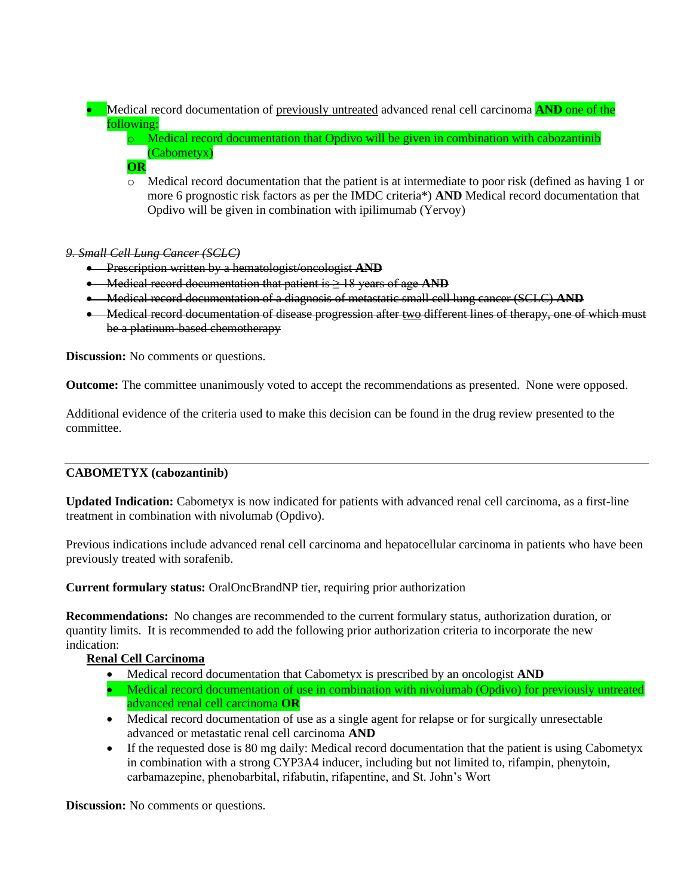• Medical record documentation of previously untreated advanced renal cell carcinoma **AND** one of the following:

o Medical record documentation that Opdivo will be given in combination with cabozantinib (Cabometyx)

## **OR**

o Medical record documentation that the patient is at intermediate to poor risk (defined as having 1 or more 6 prognostic risk factors as per the IMDC criteria\*) **AND** Medical record documentation that Opdivo will be given in combination with ipilimumab (Yervoy)

### *9. Small Cell Lung Cancer (SCLC)*

- Prescription written by a hematologist/oncologist **AND**
- Medical record documentation that patient is ≥ 18 years of age **AND**
- Medical record documentation of a diagnosis of metastatic small cell lung cancer (SCLC) **AND**
- Medical record documentation of disease progression after two different lines of therapy, one of which must be a platinum-based chemotherapy

**Discussion:** No comments or questions.

**Outcome:** The committee unanimously voted to accept the recommendations as presented. None were opposed.

Additional evidence of the criteria used to make this decision can be found in the drug review presented to the committee.

# **CABOMETYX (cabozantinib)**

**Updated Indication:** Cabometyx is now indicated for patients with advanced renal cell carcinoma, as a first-line treatment in combination with nivolumab (Opdivo).

Previous indications include advanced renal cell carcinoma and hepatocellular carcinoma in patients who have been previously treated with sorafenib.

**Current formulary status:** OralOncBrandNP tier, requiring prior authorization

**Recommendations:** No changes are recommended to the current formulary status, authorization duration, or quantity limits. It is recommended to add the following prior authorization criteria to incorporate the new indication:

# **Renal Cell Carcinoma**

- Medical record documentation that Cabometyx is prescribed by an oncologist **AND**
- Medical record documentation of use in combination with nivolumab (Opdivo) for previously untreated advanced renal cell carcinoma **OR**
- Medical record documentation of use as a single agent for relapse or for surgically unresectable advanced or metastatic renal cell carcinoma **AND**
- If the requested dose is 80 mg daily: Medical record documentation that the patient is using Cabometyx in combination with a strong CYP3A4 inducer, including but not limited to, rifampin, phenytoin, carbamazepine, phenobarbital, rifabutin, rifapentine, and St. John's Wort

**Discussion:** No comments or questions.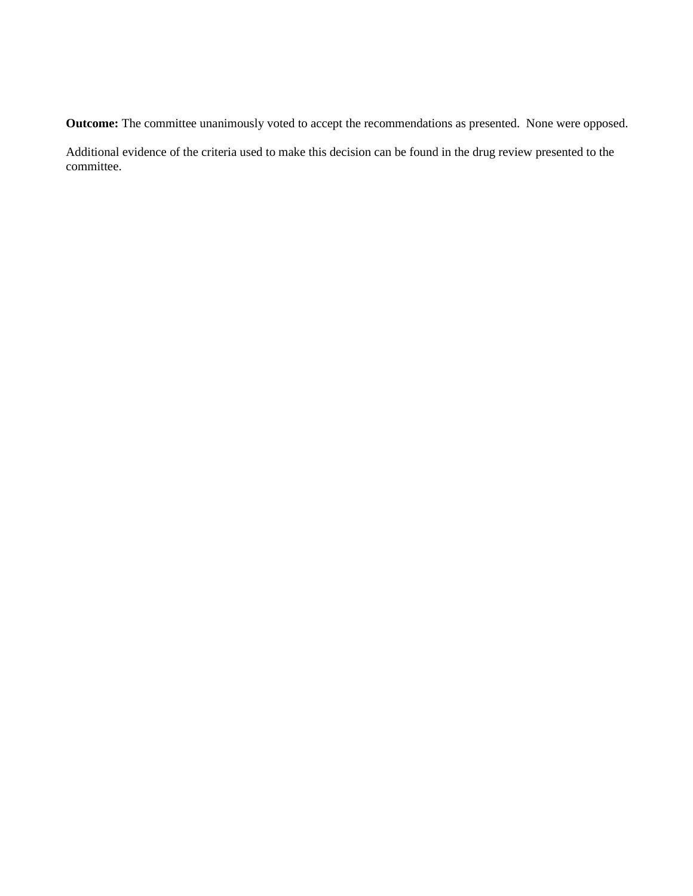**Outcome:** The committee unanimously voted to accept the recommendations as presented. None were opposed.

Additional evidence of the criteria used to make this decision can be found in the drug review presented to the committee.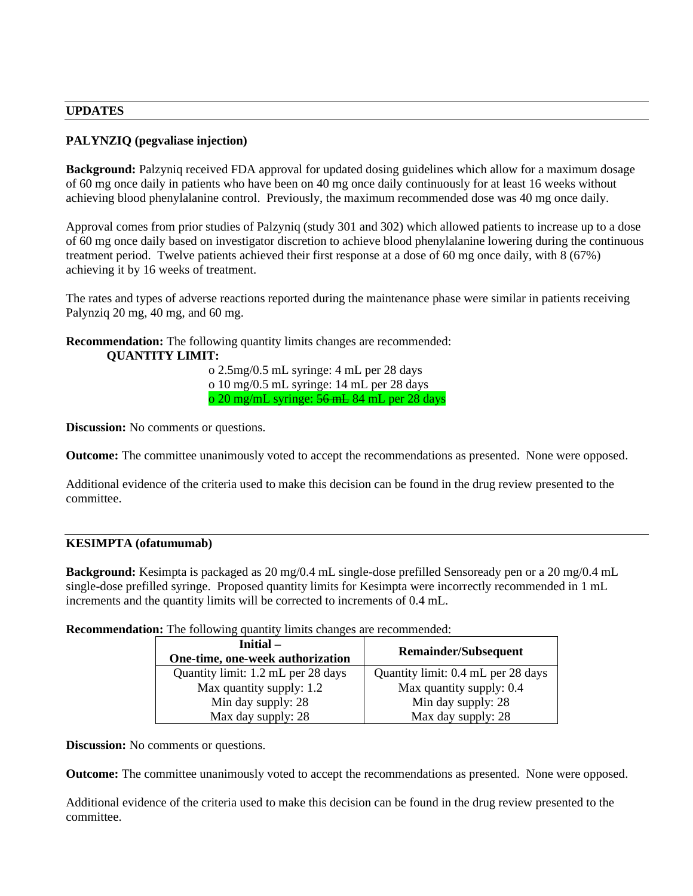#### **UPDATES**

## **PALYNZIQ (pegvaliase injection)**

**Background:** Palzyniq received FDA approval for updated dosing guidelines which allow for a maximum dosage of 60 mg once daily in patients who have been on 40 mg once daily continuously for at least 16 weeks without achieving blood phenylalanine control. Previously, the maximum recommended dose was 40 mg once daily.

Approval comes from prior studies of Palzyniq (study 301 and 302) which allowed patients to increase up to a dose of 60 mg once daily based on investigator discretion to achieve blood phenylalanine lowering during the continuous treatment period. Twelve patients achieved their first response at a dose of 60 mg once daily, with 8 (67%) achieving it by 16 weeks of treatment.

The rates and types of adverse reactions reported during the maintenance phase were similar in patients receiving Palynziq 20 mg, 40 mg, and 60 mg.

**Recommendation:** The following quantity limits changes are recommended: **QUANTITY LIMIT:**

> o 2.5mg/0.5 mL syringe: 4 mL per 28 days o 10 mg/0.5 mL syringe: 14 mL per 28 days o 20 mg/mL syringe: 56 mL 84 mL per 28 days

**Discussion:** No comments or questions.

**Outcome:** The committee unanimously voted to accept the recommendations as presented. None were opposed.

Additional evidence of the criteria used to make this decision can be found in the drug review presented to the committee.

#### **KESIMPTA (ofatumumab)**

**Background:** Kesimpta is packaged as 20 mg/0.4 mL single-dose prefilled Sensoready pen or a 20 mg/0.4 mL single-dose prefilled syringe. Proposed quantity limits for Kesimpta were incorrectly recommended in 1 mL increments and the quantity limits will be corrected to increments of 0.4 mL.

**Recommendation:** The following quantity limits changes are recommended:

| Initial –<br>One-time, one-week authorization | <b>Remainder/Subsequent</b>        |
|-----------------------------------------------|------------------------------------|
| Quantity limit: 1.2 mL per 28 days            | Quantity limit: 0.4 mL per 28 days |
| Max quantity supply: 1.2                      | Max quantity supply: 0.4           |
| Min day supply: 28                            | Min day supply: 28                 |
| Max day supply: 28                            | Max day supply: 28                 |

**Discussion:** No comments or questions.

**Outcome:** The committee unanimously voted to accept the recommendations as presented. None were opposed.

Additional evidence of the criteria used to make this decision can be found in the drug review presented to the committee.